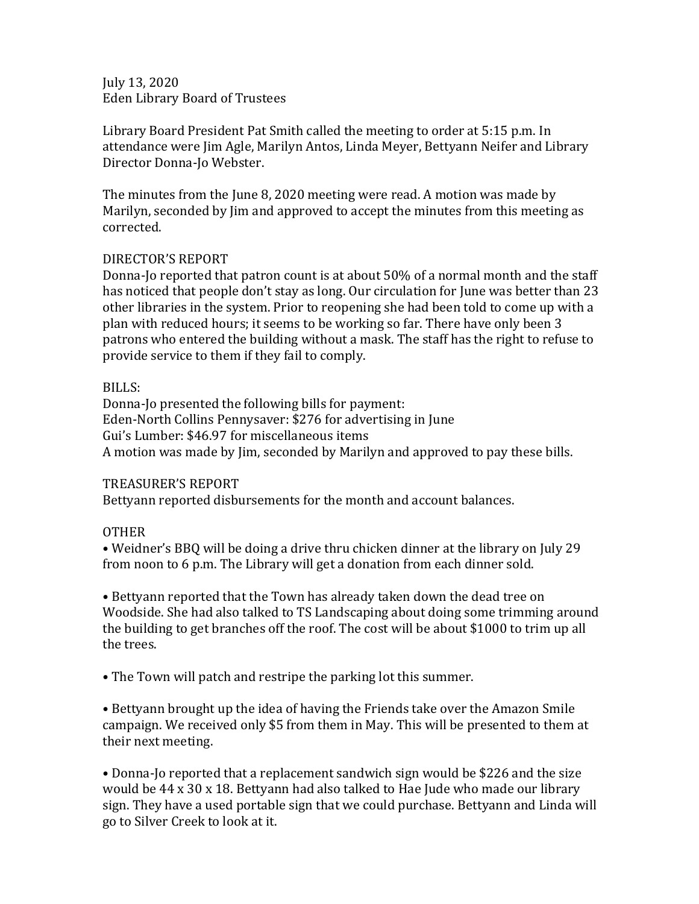July 13, 2020 Eden Library Board of Trustees

Library Board President Pat Smith called the meeting to order at 5:15 p.m. In attendance were Jim Agle, Marilyn Antos, Linda Meyer, Bettyann Neifer and Library Director Donna-Jo Webster.

The minutes from the June 8, 2020 meeting were read. A motion was made by Marilyn, seconded by Jim and approved to accept the minutes from this meeting as corrected.

## DIRECTOR'S REPORT

Donna-Jo reported that patron count is at about 50% of a normal month and the staff has noticed that people don't stay as long. Our circulation for June was better than 23 other libraries in the system. Prior to reopening she had been told to come up with a plan with reduced hours; it seems to be working so far. There have only been 3 patrons who entered the building without a mask. The staff has the right to refuse to provide service to them if they fail to comply.

## BILLS:

Donna-Jo presented the following bills for payment: Eden-North Collins Pennysaver: \$276 for advertising in June Gui's Lumber: \$46.97 for miscellaneous items A motion was made by Jim, seconded by Marilyn and approved to pay these bills.

## TREASURER'S REPORT

Bettyann reported disbursements for the month and account balances.

## OTHER

• Weidner's BBQ will be doing a drive thru chicken dinner at the library on July 29 from noon to 6 p.m. The Library will get a donation from each dinner sold.

• Bettyann reported that the Town has already taken down the dead tree on Woodside. She had also talked to TS Landscaping about doing some trimming around the building to get branches off the roof. The cost will be about \$1000 to trim up all the trees.

• The Town will patch and restripe the parking lot this summer.

• Bettyann brought up the idea of having the Friends take over the Amazon Smile campaign. We received only \$5 from them in May. This will be presented to them at their next meeting.

• Donna-Jo reported that a replacement sandwich sign would be \$226 and the size would be 44 x 30 x 18. Bettyann had also talked to Hae Jude who made our library sign. They have a used portable sign that we could purchase. Bettyann and Linda will go to Silver Creek to look at it.